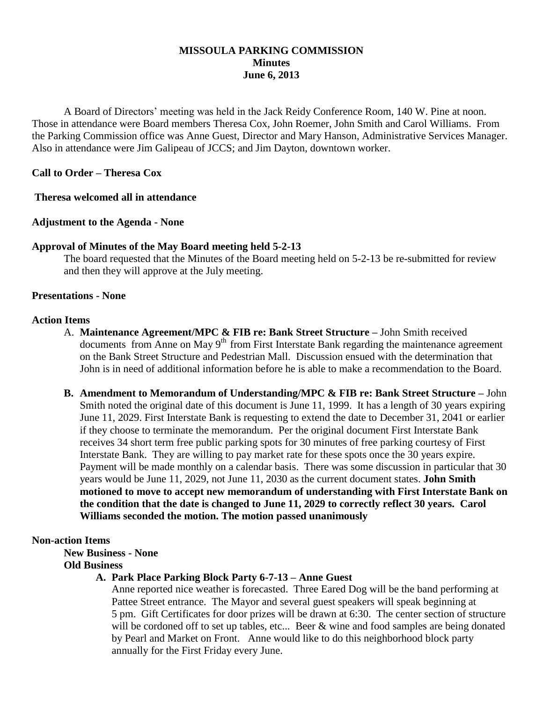# **MISSOULA PARKING COMMISSION Minutes June 6, 2013**

A Board of Directors' meeting was held in the Jack Reidy Conference Room, 140 W. Pine at noon. Those in attendance were Board members Theresa Cox, John Roemer, John Smith and Carol Williams. From the Parking Commission office was Anne Guest, Director and Mary Hanson, Administrative Services Manager. Also in attendance were Jim Galipeau of JCCS; and Jim Dayton, downtown worker.

# **Call to Order – Theresa Cox**

# **Theresa welcomed all in attendance**

# **Adjustment to the Agenda - None**

# **Approval of Minutes of the May Board meeting held 5-2-13**

The board requested that the Minutes of the Board meeting held on 5-2-13 be re-submitted for review and then they will approve at the July meeting.

### **Presentations - None**

# **Action Items**

- A. **Maintenance Agreement/MPC & FIB re: Bank Street Structure –** John Smith received documents from Anne on May 9<sup>th</sup> from First Interstate Bank regarding the maintenance agreement on the Bank Street Structure and Pedestrian Mall. Discussion ensued with the determination that John is in need of additional information before he is able to make a recommendation to the Board.
- **B. Amendment to Memorandum of Understanding/MPC & FIB re: Bank Street Structure –** John Smith noted the original date of this document is June 11, 1999. It has a length of 30 years expiring June 11, 2029. First Interstate Bank is requesting to extend the date to December 31, 2041 or earlier if they choose to terminate the memorandum. Per the original document First Interstate Bank receives 34 short term free public parking spots for 30 minutes of free parking courtesy of First Interstate Bank. They are willing to pay market rate for these spots once the 30 years expire. Payment will be made monthly on a calendar basis.There was some discussion in particular that 30 years would be June 11, 2029, not June 11, 2030 as the current document states. **John Smith motioned to move to accept new memorandum of understanding with First Interstate Bank on the condition that the date is changed to June 11, 2029 to correctly reflect 30 years. Carol Williams seconded the motion. The motion passed unanimously**

### **Non-action Items**

**New Business - None Old Business**

# **A. Park Place Parking Block Party 6-7-13 – Anne Guest**

Anne reported nice weather is forecasted. Three Eared Dog will be the band performing at Pattee Street entrance. The Mayor and several guest speakers will speak beginning at 5 pm. Gift Certificates for door prizes will be drawn at 6:30. The center section of structure will be cordoned off to set up tables, etc... Beer & wine and food samples are being donated by Pearl and Market on Front. Anne would like to do this neighborhood block party annually for the First Friday every June.